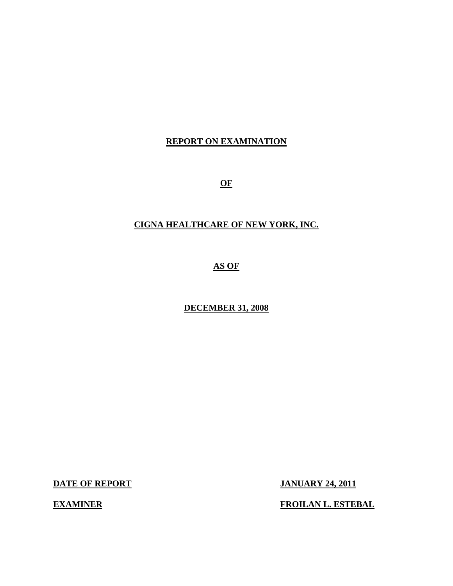### **REPORT ON EXAMINATION**

**OF** 

### **CIGNA HEALTHCARE OF NEW YORK, INC.**

**AS OF** 

**DECEMBER 31, 2008** 

**DATE OF REPORT JANUARY 24, 2011** 

**EXAMINER FROILAN L. ESTEBAL**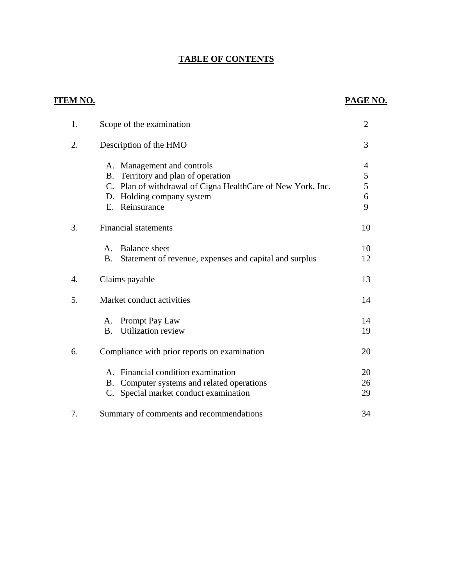## **TABLE OF CONTENTS**

| <u>TEM NO.</u>   |                                                                     | PAGE NO.       |
|------------------|---------------------------------------------------------------------|----------------|
| 1.               | Scope of the examination                                            | $\overline{2}$ |
| 2.               | Description of the HMO                                              | 3              |
|                  | A. Management and controls                                          | $\overline{4}$ |
|                  | B. Territory and plan of operation                                  | 5              |
|                  | C. Plan of withdrawal of Cigna HealthCare of New York, Inc.         | 5              |
|                  | D. Holding company system                                           | 6              |
|                  | Reinsurance<br>E.                                                   | 9              |
| 3.               | <b>Financial statements</b>                                         | 10             |
|                  | <b>Balance</b> sheet<br>Α.                                          | 10             |
|                  | <b>B.</b><br>Statement of revenue, expenses and capital and surplus | 12             |
| $\overline{4}$ . | Claims payable                                                      | 13             |
| 5.               | Market conduct activities                                           | 14             |
|                  | Prompt Pay Law<br>A.                                                | 14             |
|                  | <b>Utilization review</b><br><b>B.</b>                              | 19             |
| 6.               | Compliance with prior reports on examination                        | 20             |
|                  | Financial condition examination<br>$\mathsf{A}$ .                   | 20             |
|                  | Computer systems and related operations<br>B.                       | 26             |
|                  | Special market conduct examination<br>C.                            | 29             |
| 7.               | Summary of comments and recommendations                             | 34             |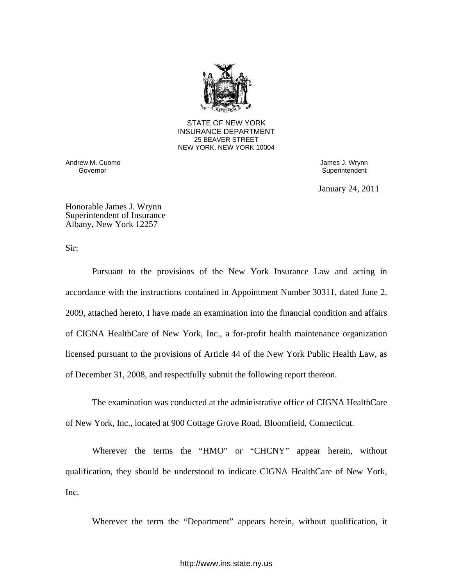

**25 BEAVER STREET** STATE OF NEW YORK INSURANCE DEPARTMENT NEW YORK, NEW YORK 10004

Andrew M. Cuomo **Governor**<br>
Governor **Governor**<br>
Governor **Governor** 

Superintendent

January 24, 2011

Honorable James J. Wrynn Superintendent of Insurance Albany, New York 12257

Sir:

Pursuant to the provisions of the New York Insurance Law and acting in accordance with the instructions contained in Appointment Number 30311, dated June 2, 2009, attached hereto, I have made an examination into the financial condition and affairs of CIGNA HealthCare of New York, Inc., a for-profit health maintenance organization licensed pursuant to the provisions of Article 44 of the New York Public Health Law, as of December 31, 2008, and respectfully submit the following report thereon.

The examination was conducted at the administrative office of CIGNA HealthCare of New York, Inc., located at 900 Cottage Grove Road, Bloomfield, Connecticut.

Wherever the terms the "HMO" or "CHCNY" appear herein, without qualification, they should be understood to indicate CIGNA HealthCare of New York, Inc.

Wherever the term the "Department" appears herein, without qualification, it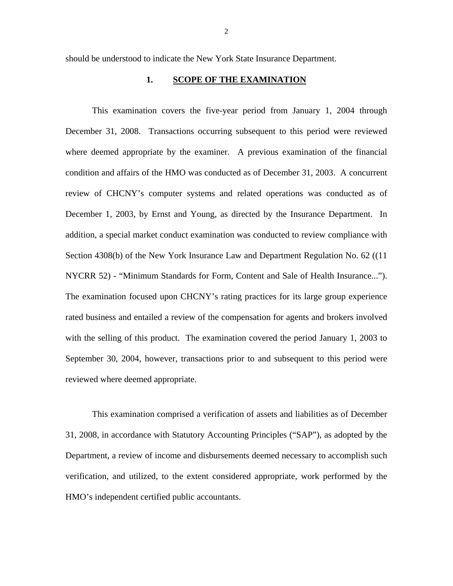should be understood to indicate the New York State Insurance Department.

#### 1. SCOPE OF THE EXAMINATION

This examination covers the five-year period from January 1, 2004 through December 31, 2008. Transactions occurring subsequent to this period were reviewed where deemed appropriate by the examiner. A previous examination of the financial condition and affairs of the HMO was conducted as of December 31, 2003. A concurrent review of CHCNY's computer systems and related operations was conducted as of December 1, 2003, by Ernst and Young, as directed by the Insurance Department. In addition, a special market conduct examination was conducted to review compliance with Section 4308(b) of the New York Insurance Law and Department Regulation No. 62 ((11 NYCRR 52) - "Minimum Standards for Form, Content and Sale of Health Insurance..."). The examination focused upon CHCNY's rating practices for its large group experience rated business and entailed a review of the compensation for agents and brokers involved with the selling of this product. The examination covered the period January 1, 2003 to September 30, 2004, however, transactions prior to and subsequent to this period were reviewed where deemed appropriate.

This examination comprised a verification of assets and liabilities as of December 31, 2008, in accordance with Statutory Accounting Principles ("SAP"), as adopted by the Department, a review of income and disbursements deemed necessary to accomplish such verification, and utilized, to the extent considered appropriate, work performed by the HMO's independent certified public accountants.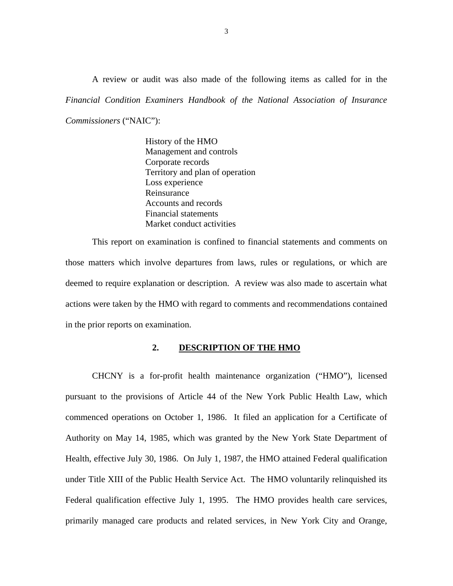<span id="page-4-0"></span>A review or audit was also made of the following items as called for in the *Financial Condition Examiners Handbook of the National Association of Insurance Commissioners* ("NAIC"):

> History of the HMO Management and controls Corporate records Territory and plan of operation Loss experience Reinsurance Accounts and records Financial statements Market conduct activities

This report on examination is confined to financial statements and comments on those matters which involve departures from laws, rules or regulations, or which are deemed to require explanation or description. A review was also made to ascertain what actions were taken by the HMO with regard to comments and recommendations contained in the prior reports on examination.

#### **2. DESCRIPTION OF THE HMO**

CHCNY is a for-profit health maintenance organization ("HMO"), licensed pursuant to the provisions of Article 44 of the New York Public Health Law, which commenced operations on October 1, 1986. It filed an application for a Certificate of Authority on May 14, 1985, which was granted by the New York State Department of Health, effective July 30, 1986. On July 1, 1987, the HMO attained Federal qualification under Title XIII of the Public Health Service Act. The HMO voluntarily relinquished its Federal qualification effective July 1, 1995. The HMO provides health care services, primarily managed care products and related services, in New York City and Orange,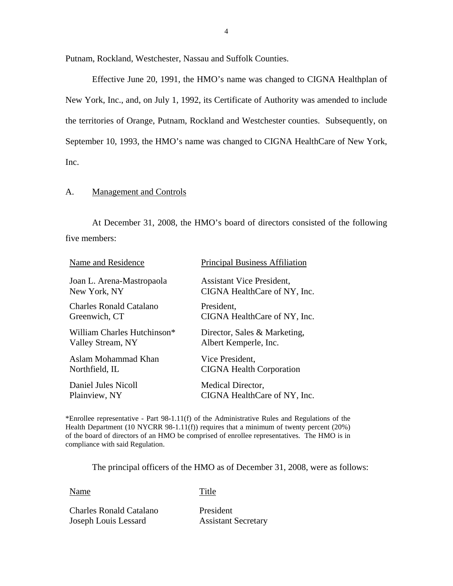Putnam, Rockland, Westchester, Nassau and Suffolk Counties.

Effective June 20, 1991, the HMO's name was changed to CIGNA Healthplan of New York, Inc., and, on July 1, 1992, its Certificate of Authority was amended to include the territories of Orange, Putnam, Rockland and Westchester counties. Subsequently, on September 10, 1993, the HMO's name was changed to CIGNA HealthCare of New York, Inc.

#### A. Management and Controls

At December 31, 2008, the HMO's board of directors consisted of the following five members:

| Name and Residence                      | <b>Principal Business Affiliation</b> |
|-----------------------------------------|---------------------------------------|
| Joan L. Arena-Mastropaola               | <b>Assistant Vice President,</b>      |
| New York, NY                            | CIGNA HealthCare of NY, Inc.          |
| <b>Charles Ronald Catalano</b>          | President,                            |
| Greenwich, CT                           | CIGNA HealthCare of NY, Inc.          |
| William Charles Hutchinson <sup>*</sup> | Director, Sales & Marketing,          |
| Valley Stream, NY                       | Albert Kemperle, Inc.                 |
| Aslam Mohammad Khan                     | Vice President,                       |
| Northfield, IL                          | <b>CIGNA Health Corporation</b>       |
| Daniel Jules Nicoll                     | Medical Director,                     |
| Plainview, NY                           | CIGNA HealthCare of NY, Inc.          |

\*Enrollee representative - Part 98-1.11(f) of the Administrative Rules and Regulations of the Health Department (10 NYCRR 98-1.11(f)) requires that a minimum of twenty percent (20%) of the board of directors of an HMO be comprised of enrollee representatives. The HMO is in compliance with said Regulation.

The principal officers of the HMO as of December 31, 2008, were as follows:

Name Title

Charles Ronald Catalano President **Joseph Louis Lessard Assistant Secretary**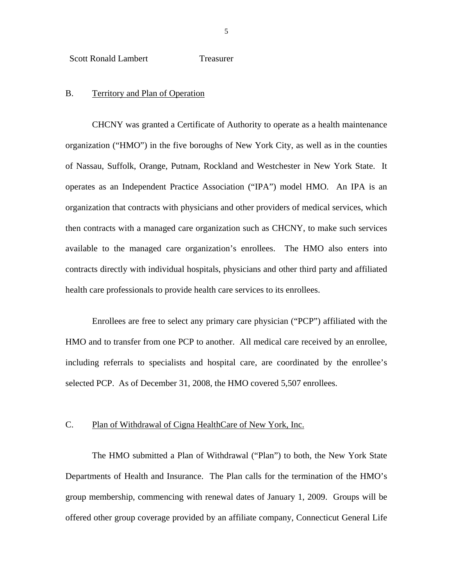<span id="page-6-0"></span>Scott Ronald Lambert Treasurer

#### B. Territory and Plan of Operation

CHCNY was granted a Certificate of Authority to operate as a health maintenance organization ("HMO") in the five boroughs of New York City, as well as in the counties of Nassau, Suffolk, Orange, Putnam, Rockland and Westchester in New York State. It operates as an Independent Practice Association ("IPA") model HMO. An IPA is an organization that contracts with physicians and other providers of medical services, which then contracts with a managed care organization such as CHCNY, to make such services available to the managed care organization's enrollees. The HMO also enters into contracts directly with individual hospitals, physicians and other third party and affiliated health care professionals to provide health care services to its enrollees.

Enrollees are free to select any primary care physician ("PCP") affiliated with the HMO and to transfer from one PCP to another. All medical care received by an enrollee, including referrals to specialists and hospital care, are coordinated by the enrollee's selected PCP. As of December 31, 2008, the HMO covered 5,507 enrollees.

#### C. Plan of Withdrawal of Cigna HealthCare of New York, Inc.

The HMO submitted a Plan of Withdrawal ("Plan") to both, the New York State Departments of Health and Insurance. The Plan calls for the termination of the HMO's group membership, commencing with renewal dates of January 1, 2009. Groups will be offered other group coverage provided by an affiliate company, Connecticut General Life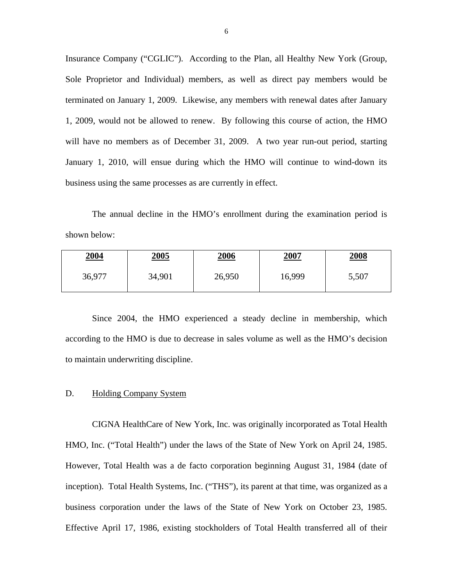Insurance Company ("CGLIC"). According to the Plan, all Healthy New York (Group, Sole Proprietor and Individual) members, as well as direct pay members would be terminated on January 1, 2009. Likewise, any members with renewal dates after January 1, 2009, would not be allowed to renew. By following this course of action, the HMO will have no members as of December 31, 2009. A two year run-out period, starting January 1, 2010, will ensue during which the HMO will continue to wind-down its business using the same processes as are currently in effect.

The annual decline in the HMO's enrollment during the examination period is shown below:

| <u> 2004</u> | <u>2005</u> | <u>2006</u> | <u>2007</u> | <u>2008</u> |
|--------------|-------------|-------------|-------------|-------------|
| 36,977       | 34,901      | 26,950      | 16,999      | 5,507       |

Since 2004, the HMO experienced a steady decline in membership, which according to the HMO is due to decrease in sales volume as well as the HMO's decision to maintain underwriting discipline.

#### D. Holding Company System

CIGNA HealthCare of New York, Inc. was originally incorporated as Total Health HMO, Inc. ("Total Health") under the laws of the State of New York on April 24, 1985. However, Total Health was a de facto corporation beginning August 31, 1984 (date of inception). Total Health Systems, Inc. ("THS"), its parent at that time, was organized as a business corporation under the laws of the State of New York on October 23, 1985. Effective April 17, 1986, existing stockholders of Total Health transferred all of their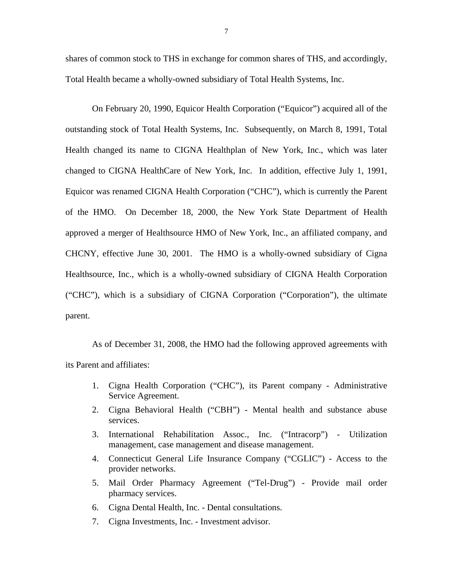shares of common stock to THS in exchange for common shares of THS, and accordingly, Total Health became a wholly-owned subsidiary of Total Health Systems, Inc.

On February 20, 1990, Equicor Health Corporation ("Equicor") acquired all of the outstanding stock of Total Health Systems, Inc. Subsequently, on March 8, 1991, Total Health changed its name to CIGNA Healthplan of New York, Inc., which was later changed to CIGNA HealthCare of New York, Inc. In addition, effective July 1, 1991, Equicor was renamed CIGNA Health Corporation ("CHC"), which is currently the Parent of the HMO. On December 18, 2000, the New York State Department of Health approved a merger of Healthsource HMO of New York, Inc., an affiliated company, and CHCNY, effective June 30, 2001. The HMO is a wholly-owned subsidiary of Cigna Healthsource, Inc., which is a wholly-owned subsidiary of CIGNA Health Corporation ("CHC"), which is a subsidiary of CIGNA Corporation ("Corporation"), the ultimate parent.

As of December 31, 2008, the HMO had the following approved agreements with its Parent and affiliates:

- 1. Cigna Health Corporation ("CHC"), its Parent company Administrative Service Agreement.
- 2. Cigna Behavioral Health ("CBH") Mental health and substance abuse services.
- 3. International Rehabilitation Assoc., Inc. ("Intracorp") Utilization management, case management and disease management.
- 4. Connecticut General Life Insurance Company ("CGLIC") Access to the provider networks.
- 5. Mail Order Pharmacy Agreement ("Tel-Drug") Provide mail order pharmacy services.
- 6. Cigna Dental Health, Inc. Dental consultations.
- 7. Cigna Investments, Inc. Investment advisor.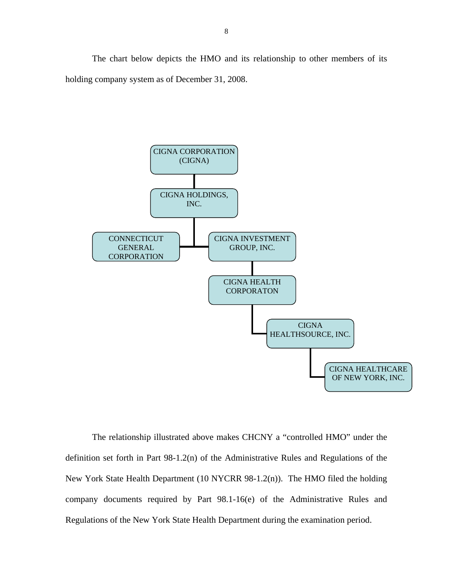The chart below depicts the HMO and its relationship to other members of its holding company system as of December 31, 2008.



The relationship illustrated above makes CHCNY a "controlled HMO" under the definition set forth in Part 98-1.2(n) of the Administrative Rules and Regulations of the New York State Health Department (10 NYCRR 98-1.2(n)). The HMO filed the holding company documents required by Part 98.1-16(e) of the Administrative Rules and Regulations of the New York State Health Department during the examination period.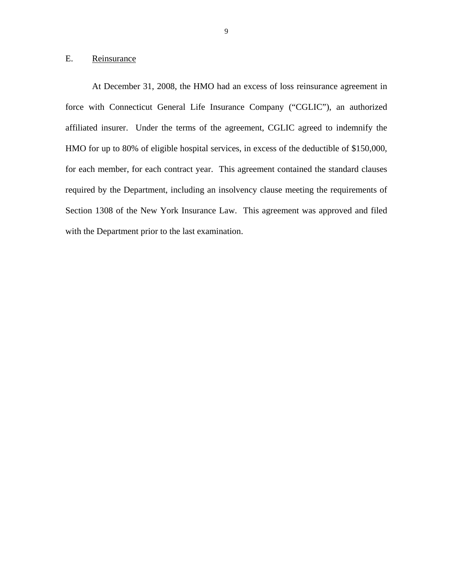#### <span id="page-10-0"></span>E. Reinsurance

At December 31, 2008, the HMO had an excess of loss reinsurance agreement in force with Connecticut General Life Insurance Company ("CGLIC"), an authorized affiliated insurer. Under the terms of the agreement, CGLIC agreed to indemnify the HMO for up to 80% of eligible hospital services, in excess of the deductible of \$150,000, for each member, for each contract year. This agreement contained the standard clauses required by the Department, including an insolvency clause meeting the requirements of Section 1308 of the New York Insurance Law. This agreement was approved and filed with the Department prior to the last examination.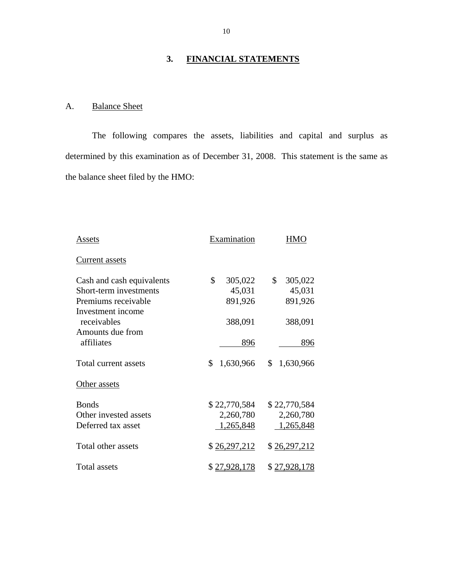#### **3. FINANCIAL STATEMENTS**

### A. Balance Sheet

The following compares the assets, liabilities and capital and surplus as determined by this examination as of December 31, 2008. This statement is the same as the balance sheet filed by the HMO:

| Assets                    | Examination     |                 |
|---------------------------|-----------------|-----------------|
| <b>Current assets</b>     |                 |                 |
| Cash and cash equivalents | \$<br>305,022   | \$<br>305,022   |
| Short-term investments    | 45,031          | 45,031          |
| Premiums receivable       | 891,926         | 891,926         |
| Investment income         |                 |                 |
| receivables               | 388,091         | 388,091         |
| Amounts due from          |                 |                 |
| affiliates                | 896             | 896             |
| Total current assets      | \$<br>1,630,966 | \$<br>1,630,966 |
| Other assets              |                 |                 |
| <b>Bonds</b>              | \$22,770,584    | \$22,770,584    |
| Other invested assets     | 2,260,780       | 2,260,780       |
| Deferred tax asset        | 1,265,848       | 1,265,848       |
| Total other assets        | \$26,297,212    | \$26,297,212    |
| Total assets              | \$27,928,178    | \$27,928,178    |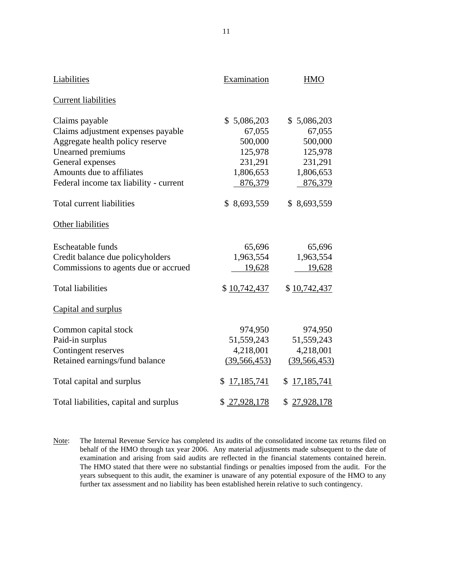| <b>Liabilities</b>                     | Examination      | <b>HMO</b>       |
|----------------------------------------|------------------|------------------|
| <b>Current liabilities</b>             |                  |                  |
| Claims payable                         | \$5,086,203      | \$5,086,203      |
| Claims adjustment expenses payable     | 67,055           | 67,055           |
| Aggregate health policy reserve        | 500,000          | 500,000          |
| Unearned premiums                      | 125,978          | 125,978          |
| General expenses                       | 231,291          | 231,291          |
| Amounts due to affiliates              | 1,806,653        | 1,806,653        |
| Federal income tax liability - current | 876,379          | 876,379          |
| Total current liabilities              | \$8,693,559      | \$8,693,559      |
| Other liabilities                      |                  |                  |
| <b>Escheatable funds</b>               | 65,696           | 65,696           |
| Credit balance due policyholders       | 1,963,554        | 1,963,554        |
| Commissions to agents due or accrued   | 19,628           | 19,628           |
| <b>Total liabilities</b>               | \$10,742,437     | \$10,742,437     |
| Capital and surplus                    |                  |                  |
| Common capital stock                   | 974,950          | 974,950          |
| Paid-in surplus                        | 51, 559, 243     | 51,559,243       |
| Contingent reserves                    | 4,218,001        | 4,218,001        |
| Retained earnings/fund balance         | (39, 566, 453)   | (39, 566, 453)   |
| Total capital and surplus              | 17,185,741<br>S. | 17,185,741<br>\$ |
| Total liabilities, capital and surplus | \$27,928,178     | \$<br>27,928,178 |

 years subsequent to this audit, the examiner is unaware of any potential exposure of the HMO to any Note: The Internal Revenue Service has completed its audits of the consolidated income tax returns filed on behalf of the HMO through tax year 2006. Any material adjustments made subsequent to the date of examination and arising from said audits are reflected in the financial statements contained herein. The HMO stated that there were no substantial findings or penalties imposed from the audit. For the further tax assessment and no liability has been established herein relative to such contingency.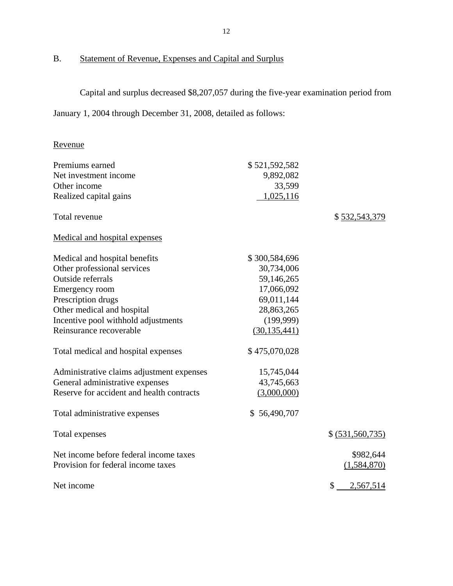### B. Statement of Revenue, Expenses and Capital and Surplus

Capital and surplus decreased \$8,207,057 during the five-year examination period from

January 1, 2004 through December 31, 2008, detailed as follows:

### Revenue

| Premiums earned                           | \$521,592,582  |                    |
|-------------------------------------------|----------------|--------------------|
| Net investment income                     | 9,892,082      |                    |
| Other income                              | 33,599         |                    |
| Realized capital gains                    | 1,025,116      |                    |
| Total revenue                             |                | \$532,543,379      |
| Medical and hospital expenses             |                |                    |
| Medical and hospital benefits             | \$300,584,696  |                    |
| Other professional services               | 30,734,006     |                    |
| Outside referrals                         | 59,146,265     |                    |
| Emergency room                            | 17,066,092     |                    |
| Prescription drugs                        | 69,011,144     |                    |
| Other medical and hospital                | 28,863,265     |                    |
| Incentive pool withhold adjustments       | (199,999)      |                    |
| Reinsurance recoverable                   | (30, 135, 441) |                    |
| Total medical and hospital expenses       | \$475,070,028  |                    |
| Administrative claims adjustment expenses | 15,745,044     |                    |
| General administrative expenses           | 43,745,663     |                    |
| Reserve for accident and health contracts | (3,000,000)    |                    |
| Total administrative expenses             | \$56,490,707   |                    |
| Total expenses                            |                | \$ (531, 560, 735) |
| Net income before federal income taxes    |                | \$982,644          |
| Provision for federal income taxes        |                | (1,584,870)        |
| Net income                                |                | \$<br>2,567,514    |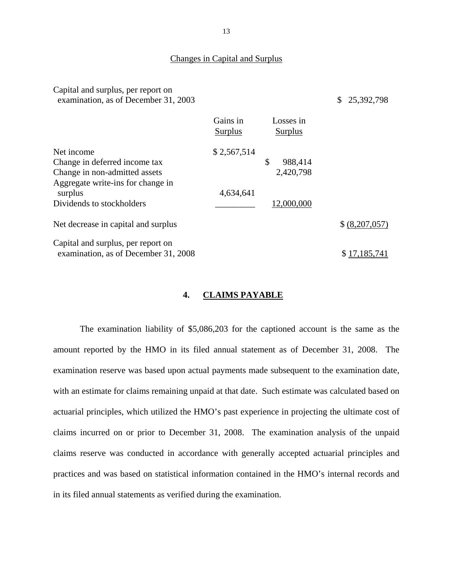#### Changes in Capital and Surplus

Capital and surplus, per report on examination, as of December 31, 2003 \$ 25,392,798

|                                                                            | Gains in<br>Surplus | Losses in<br>Surplus |               |
|----------------------------------------------------------------------------|---------------------|----------------------|---------------|
| Net income                                                                 | \$2,567,514         |                      |               |
| Change in deferred income tax                                              |                     | \$<br>988,414        |               |
| Change in non-admitted assets                                              |                     | 2,420,798            |               |
| Aggregate write-ins for change in<br>surplus                               | 4,634,641           |                      |               |
| Dividends to stockholders                                                  |                     | 12,000,000           |               |
| Net decrease in capital and surplus                                        |                     |                      | \$(8,207,057) |
| Capital and surplus, per report on<br>examination, as of December 31, 2008 |                     |                      | \$17,185,741  |

#### **4. CLAIMS PAYABLE**

The examination liability of \$5,086,203 for the captioned account is the same as the amount reported by the HMO in its filed annual statement as of December 31, 2008. The examination reserve was based upon actual payments made subsequent to the examination date, with an estimate for claims remaining unpaid at that date. Such estimate was calculated based on actuarial principles, which utilized the HMO's past experience in projecting the ultimate cost of claims incurred on or prior to December 31, 2008. The examination analysis of the unpaid claims reserve was conducted in accordance with generally accepted actuarial principles and practices and was based on statistical information contained in the HMO's internal records and in its filed annual statements as verified during the examination.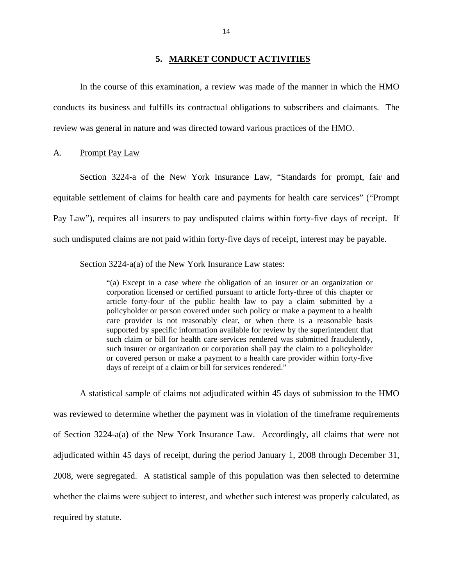#### **5. MARKET CONDUCT ACTIVITIES**

<span id="page-15-0"></span>In the course of this examination, a review was made of the manner in which the HMO conducts its business and fulfills its contractual obligations to subscribers and claimants. The review was general in nature and was directed toward various practices of the HMO.

#### A. Prompt Pay Law

Section 3224-a of the New York Insurance Law, "Standards for prompt, fair and equitable settlement of claims for health care and payments for health care services" ("Prompt Pay Law"), requires all insurers to pay undisputed claims within forty-five days of receipt. If such undisputed claims are not paid within forty-five days of receipt, interest may be payable.

Section 3224-a(a) of the New York Insurance Law states:

"(a) Except in a case where the obligation of an insurer or an organization or corporation licensed or certified pursuant to article forty-three of this chapter or article forty-four of the public health law to pay a claim submitted by a policyholder or person covered under such policy or make a payment to a health care provider is not reasonably clear, or when there is a reasonable basis supported by specific information available for review by the superintendent that such claim or bill for health care services rendered was submitted fraudulently, such insurer or organization or corporation shall pay the claim to a policyholder or covered person or make a payment to a health care provider within forty-five days of receipt of a claim or bill for services rendered."

A statistical sample of claims not adjudicated within 45 days of submission to the HMO was reviewed to determine whether the payment was in violation of the timeframe requirements of Section 3224-a(a) of the New York Insurance Law. Accordingly, all claims that were not adjudicated within 45 days of receipt, during the period January 1, 2008 through December 31, 2008, were segregated. A statistical sample of this population was then selected to determine whether the claims were subject to interest, and whether such interest was properly calculated, as required by statute.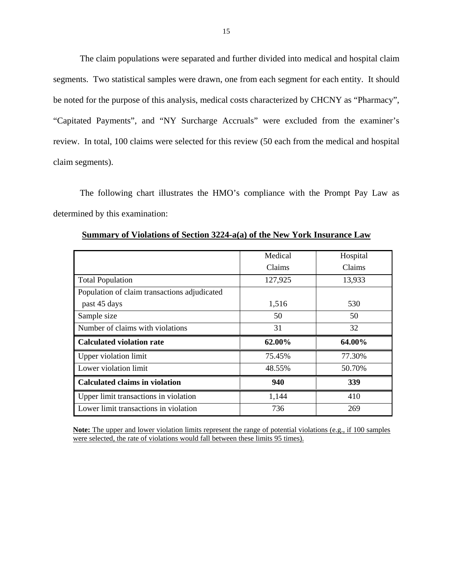The claim populations were separated and further divided into medical and hospital claim segments. Two statistical samples were drawn, one from each segment for each entity. It should be noted for the purpose of this analysis, medical costs characterized by CHCNY as "Pharmacy", "Capitated Payments", and "NY Surcharge Accruals" were excluded from the examiner's review. In total, 100 claims were selected for this review (50 each from the medical and hospital claim segments).

The following chart illustrates the HMO's compliance with the Prompt Pay Law as determined by this examination:

|                                              | Medical | Hospital |
|----------------------------------------------|---------|----------|
|                                              | Claims  | Claims   |
| <b>Total Population</b>                      | 127,925 | 13,933   |
| Population of claim transactions adjudicated |         |          |
| past 45 days                                 | 1,516   | 530      |
| Sample size                                  | 50      | 50       |
| Number of claims with violations             | 31      | 32       |
| <b>Calculated violation rate</b>             | 62.00%  | 64.00%   |
| Upper violation limit                        | 75.45%  | 77.30%   |
| Lower violation limit                        | 48.55%  | 50.70%   |
| <b>Calculated claims in violation</b>        | 940     | 339      |
| Upper limit transactions in violation        | 1,144   | 410      |
| Lower limit transactions in violation        | 736     | 269      |

**Summary of Violations of Section 3224-a(a) of the New York Insurance Law** 

**Note:** The upper and lower violation limits represent the range of potential violations (e.g., if 100 samples were selected, the rate of violations would fall between these limits 95 times).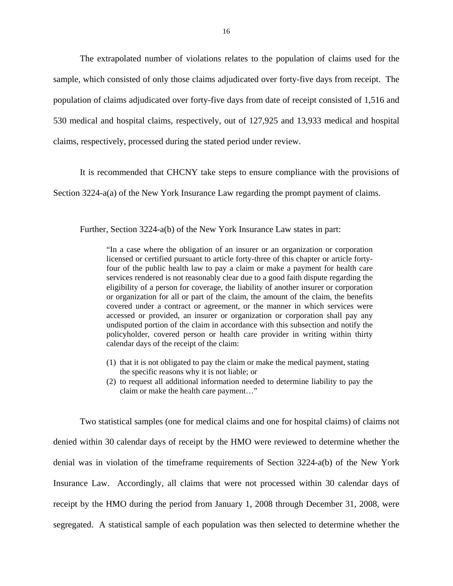The extrapolated number of violations relates to the population of claims used for the sample, which consisted of only those claims adjudicated over forty-five days from receipt. The population of claims adjudicated over forty-five days from date of receipt consisted of 1,516 and 530 medical and hospital claims, respectively, out of 127,925 and 13,933 medical and hospital claims, respectively, processed during the stated period under review.

It is recommended that CHCNY take steps to ensure compliance with the provisions of

Section 3224-a(a) of the New York Insurance Law regarding the prompt payment of claims.

Further, Section 3224-a(b) of the New York Insurance Law states in part:

"In a case where the obligation of an insurer or an organization or corporation licensed or certified pursuant to article forty-three of this chapter or article fortyfour of the public health law to pay a claim or make a payment for health care services rendered is not reasonably clear due to a good faith dispute regarding the eligibility of a person for coverage, the liability of another insurer or corporation or organization for all or part of the claim, the amount of the claim, the benefits covered under a contract or agreement, or the manner in which services were accessed or provided, an insurer or organization or corporation shall pay any undisputed portion of the claim in accordance with this subsection and notify the policyholder, covered person or health care provider in writing within thirty calendar days of the receipt of the claim:

- (1) that it is not obligated to pay the claim or make the medical payment, stating the specific reasons why it is not liable; or
- (2) to request all additional information needed to determine liability to pay the claim or make the health care payment…"

Two statistical samples (one for medical claims and one for hospital claims) of claims not denied within 30 calendar days of receipt by the HMO were reviewed to determine whether the denial was in violation of the timeframe requirements of Section 3224-a(b) of the New York Insurance Law. Accordingly, all claims that were not processed within 30 calendar days of receipt by the HMO during the period from January 1, 2008 through December 31, 2008, were segregated. A statistical sample of each population was then selected to determine whether the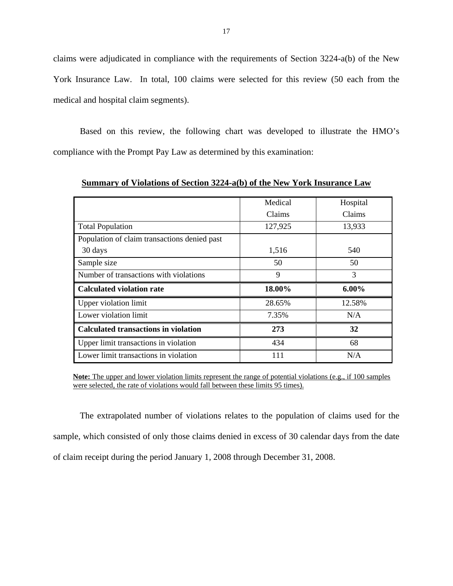claims were adjudicated in compliance with the requirements of Section 3224-a(b) of the New York Insurance Law. In total, 100 claims were selected for this review (50 each from the medical and hospital claim segments).

Based on this review, the following chart was developed to illustrate the HMO's compliance with the Prompt Pay Law as determined by this examination:

|                                              | Medical | Hospital |
|----------------------------------------------|---------|----------|
|                                              | Claims  | Claims   |
| <b>Total Population</b>                      | 127,925 | 13,933   |
| Population of claim transactions denied past |         |          |
| 30 days                                      | 1,516   | 540      |
| Sample size                                  | 50      | 50       |
| Number of transactions with violations       | 9       | 3        |
| <b>Calculated violation rate</b>             | 18.00%  | $6.00\%$ |
| <b>Upper violation limit</b>                 | 28.65%  | 12.58%   |
| Lower violation limit                        | 7.35%   | N/A      |
| <b>Calculated transactions in violation</b>  | 273     | 32       |
| Upper limit transactions in violation        | 434     | 68       |
| Lower limit transactions in violation        | 111     | N/A      |

**Summary of Violations of Section 3224-a(b) of the New York Insurance Law** 

**Note:** The upper and lower violation limits represent the range of potential violations (e.g., if 100 samples were selected, the rate of violations would fall between these limits 95 times).

The extrapolated number of violations relates to the population of claims used for the sample, which consisted of only those claims denied in excess of 30 calendar days from the date of claim receipt during the period January 1, 2008 through December 31, 2008.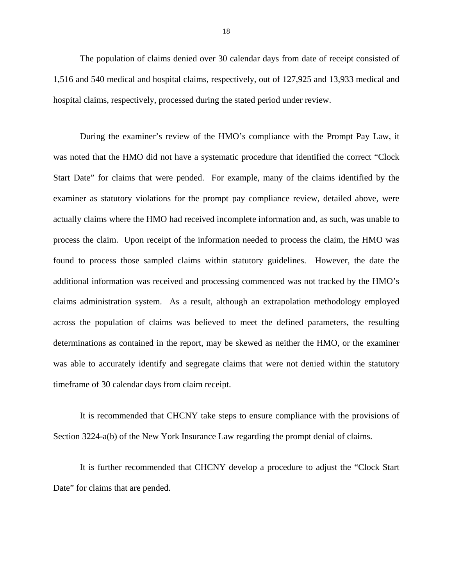The population of claims denied over 30 calendar days from date of receipt consisted of 1,516 and 540 medical and hospital claims, respectively, out of 127,925 and 13,933 medical and hospital claims, respectively, processed during the stated period under review.

During the examiner's review of the HMO's compliance with the Prompt Pay Law, it was noted that the HMO did not have a systematic procedure that identified the correct "Clock Start Date" for claims that were pended. For example, many of the claims identified by the examiner as statutory violations for the prompt pay compliance review, detailed above, were actually claims where the HMO had received incomplete information and, as such, was unable to process the claim. Upon receipt of the information needed to process the claim, the HMO was found to process those sampled claims within statutory guidelines. However, the date the additional information was received and processing commenced was not tracked by the HMO's claims administration system. As a result, although an extrapolation methodology employed across the population of claims was believed to meet the defined parameters, the resulting determinations as contained in the report, may be skewed as neither the HMO, or the examiner was able to accurately identify and segregate claims that were not denied within the statutory timeframe of 30 calendar days from claim receipt.

It is recommended that CHCNY take steps to ensure compliance with the provisions of Section 3224-a(b) of the New York Insurance Law regarding the prompt denial of claims.

It is further recommended that CHCNY develop a procedure to adjust the "Clock Start Date" for claims that are pended.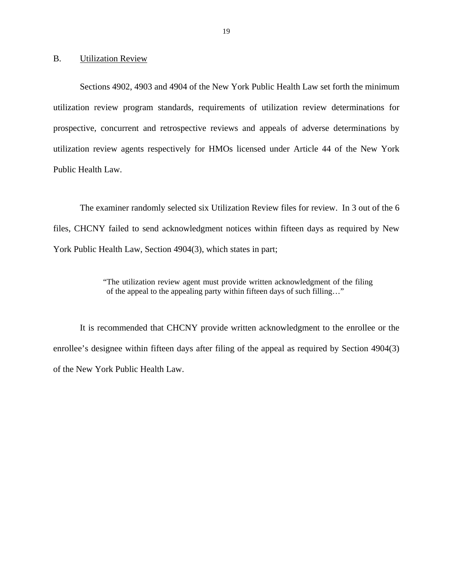<span id="page-20-0"></span>B. Utilization Review

Sections 4902, 4903 and 4904 of the New York Public Health Law set forth the minimum utilization review program standards, requirements of utilization review determinations for prospective, concurrent and retrospective reviews and appeals of adverse determinations by utilization review agents respectively for HMOs licensed under Article 44 of the New York Public Health Law.

The examiner randomly selected six Utilization Review files for review. In 3 out of the 6 files, CHCNY failed to send acknowledgment notices within fifteen days as required by New York Public Health Law, Section 4904(3), which states in part;

> "The utilization review agent must provide written acknowledgment of the filing of the appeal to the appealing party within fifteen days of such filling…"

It is recommended that CHCNY provide written acknowledgment to the enrollee or the enrollee's designee within fifteen days after filing of the appeal as required by Section 4904(3) of the New York Public Health Law.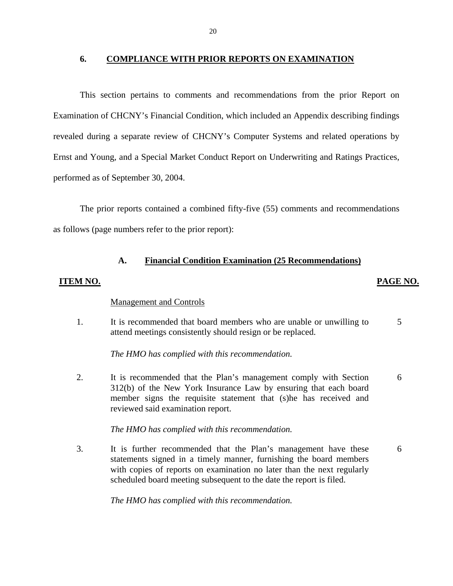#### <span id="page-21-0"></span>**6. COMPLIANCE WITH PRIOR REPORTS ON EXAMINATION**

This section pertains to comments and recommendations from the prior Report on Examination of CHCNY's Financial Condition, which included an Appendix describing findings revealed during a separate review of CHCNY's Computer Systems and related operations by Ernst and Young, and a Special Market Conduct Report on Underwriting and Ratings Practices, performed as of September 30, 2004.

The prior reports contained a combined fifty-five (55) comments and recommendations as follows (page numbers refer to the prior report):

#### **A. Financial Condition Examination (25 Recommendations)**

#### **ITEM NO. PAGE NO.**

#### **Management and Controls**

1. It is recommended that board members who are unable or unwilling to 5 attend meetings consistently should resign or be replaced.

*The HMO has complied with this recommendation.* 

2. It is recommended that the Plan's management comply with Section 6 312(b) of the New York Insurance Law by ensuring that each board member signs the requisite statement that (s)he has received and reviewed said examination report.

*The HMO has complied with this recommendation.* 

3. It is further recommended that the Plan's management have these 6 statements signed in a timely manner, furnishing the board members with copies of reports on examination no later than the next regularly scheduled board meeting subsequent to the date the report is filed.

*The HMO has complied with this recommendation.*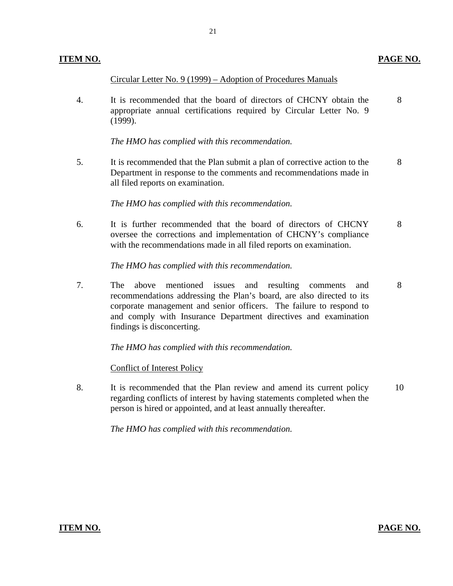Circular Letter No. 9 (1999) – Adoption of Procedures Manuals

4. It is recommended that the board of directors of CHCNY obtain the 8 appropriate annual certifications required by Circular Letter No. 9 (1999).

*The HMO has complied with this recommendation.* 

5. It is recommended that the Plan submit a plan of corrective action to the 8 Department in response to the comments and recommendations made in all filed reports on examination.

*The HMO has complied with this recommendation.* 

6. It is further recommended that the board of directors of CHCNY 8 oversee the corrections and implementation of CHCNY's compliance with the recommendations made in all filed reports on examination.

*The HMO has complied with this recommendation.* 

7. The above mentioned issues and resulting comments and 8 recommendations addressing the Plan's board, are also directed to its corporate management and senior officers. The failure to respond to and comply with Insurance Department directives and examination findings is disconcerting.

*The HMO has complied with this recommendation.* 

**Conflict of Interest Policy** 

8. It is recommended that the Plan review and amend its current policy 10 regarding conflicts of interest by having statements completed when the person is hired or appointed, and at least annually thereafter.

*The HMO has complied with this recommendation.* 

**ITEM NO. PAGE NO. PAGE NO.**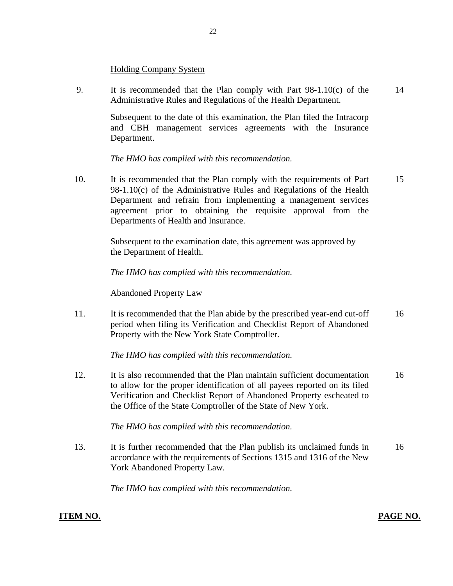#### **Holding Company System**

9. It is recommended that the Plan comply with Part  $98-1.10(c)$  of the 14 Administrative Rules and Regulations of the Health Department.

> Subsequent to the date of this examination, the Plan filed the Intracorp and CBH management services agreements with the Insurance Department.

*The HMO has complied with this recommendation.* 

10. It is recommended that the Plan comply with the requirements of Part 15 98-1.10(c) of the Administrative Rules and Regulations of the Health Department and refrain from implementing a management services agreement prior to obtaining the requisite approval from the Departments of Health and Insurance.

> Subsequent to the examination date, this agreement was approved by the Department of Health.

*The HMO has complied with this recommendation.* 

#### **Abandoned Property Law**

11. It is recommended that the Plan abide by the prescribed year-end cut-off 16 period when filing its Verification and Checklist Report of Abandoned Property with the New York State Comptroller.

*The HMO has complied with this recommendation.* 

12. It is also recommended that the Plan maintain sufficient documentation 16 to allow for the proper identification of all payees reported on its filed Verification and Checklist Report of Abandoned Property escheated to the Office of the State Comptroller of the State of New York.

*The HMO has complied with this recommendation.* 

13. It is further recommended that the Plan publish its unclaimed funds in 16 accordance with the requirements of Sections 1315 and 1316 of the New York Abandoned Property Law.

*The HMO has complied with this recommendation.* 

#### **ITEM NO. PAGE NO. PAGE NO.**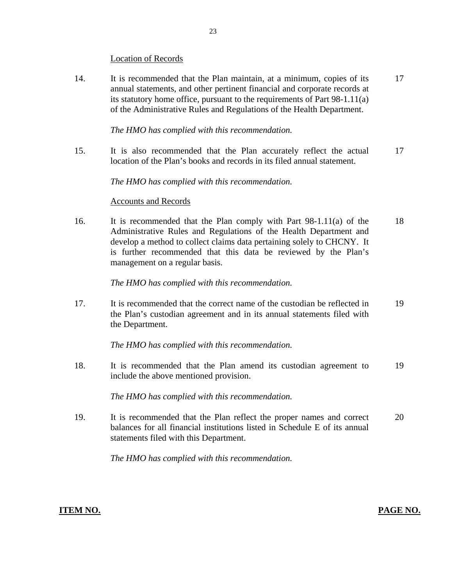#### **Location of Records**

14. It is recommended that the Plan maintain, at a minimum, copies of its 17 annual statements, and other pertinent financial and corporate records at its statutory home office, pursuant to the requirements of Part 98-1.11(a) of the Administrative Rules and Regulations of the Health Department.

#### *The HMO has complied with this recommendation.*

15. It is also recommended that the Plan accurately reflect the actual 17 location of the Plan's books and records in its filed annual statement.

#### *The HMO has complied with this recommendation.*

#### **Accounts and Records**

16. It is recommended that the Plan comply with Part  $98-1.11(a)$  of the 18 Administrative Rules and Regulations of the Health Department and develop a method to collect claims data pertaining solely to CHCNY. It is further recommended that this data be reviewed by the Plan's management on a regular basis.

#### *The HMO has complied with this recommendation.*

17. It is recommended that the correct name of the custodian be reflected in 19 the Plan's custodian agreement and in its annual statements filed with the Department.

*The HMO has complied with this recommendation.* 

18. It is recommended that the Plan amend its custodian agreement to 19 include the above mentioned provision.

*The HMO has complied with this recommendation.* 

19. It is recommended that the Plan reflect the proper names and correct 20 balances for all financial institutions listed in Schedule E of its annual statements filed with this Department.

*The HMO has complied with this recommendation.*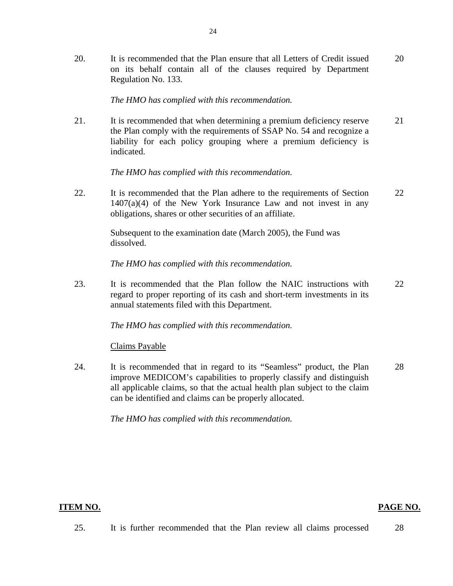20. It is recommended that the Plan ensure that all Letters of Credit issued 20 on its behalf contain all of the clauses required by Department Regulation No. 133.

#### *The HMO has complied with this recommendation.*

21. It is recommended that when determining a premium deficiency reserve 21 the Plan comply with the requirements of SSAP No. 54 and recognize a liability for each policy grouping where a premium deficiency is indicated.

*The HMO has complied with this recommendation.* 

22. It is recommended that the Plan adhere to the requirements of Section 22 1407(a)(4) of the New York Insurance Law and not invest in any obligations, shares or other securities of an affiliate.

> Subsequent to the examination date (March 2005), the Fund was dissolved.

*The HMO has complied with this recommendation.* 

23. It is recommended that the Plan follow the NAIC instructions with 22 regard to proper reporting of its cash and short-term investments in its annual statements filed with this Department.

*The HMO has complied with this recommendation.* 

**Claims Payable** 

24. It is recommended that in regard to its "Seamless" product, the Plan 28 improve MEDICOM's capabilities to properly classify and distinguish all applicable claims, so that the actual health plan subject to the claim can be identified and claims can be properly allocated.

*The HMO has complied with this recommendation.* 

#### **ITEM NO.**

#### **PAGE NO.**

25. It is further recommended that the Plan review all claims processed 28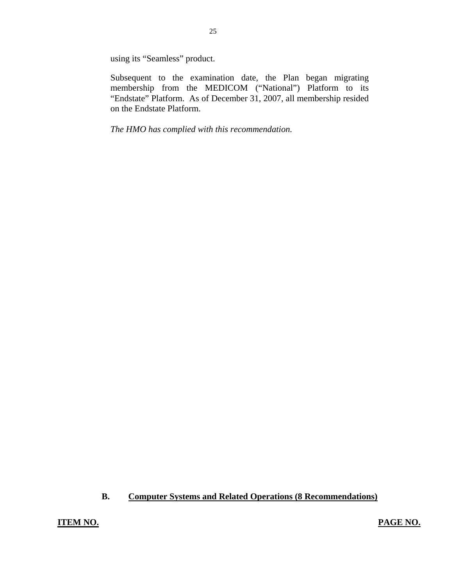using its "Seamless" product.

Subsequent to the examination date, the Plan began migrating membership from the MEDICOM ("National") Platform to its "Endstate" Platform. As of December 31, 2007, all membership resided on the Endstate Platform.

*The HMO has complied with this recommendation.* 

#### **B. Computer Systems and Related Operations (8 Recommendations)**

**ITEM NO. PAGE NO.**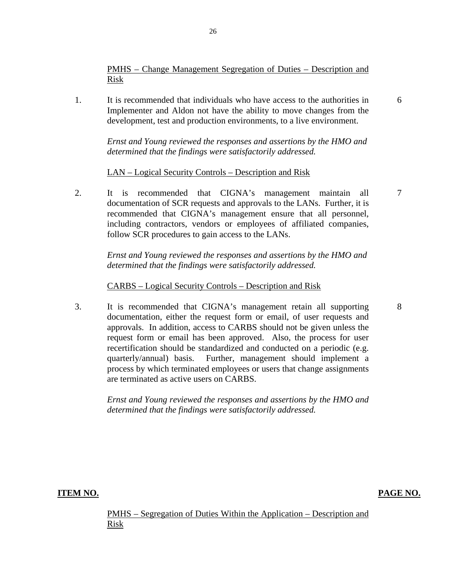PMHS – Change Management Segregation of Duties – Description and Risk

1. It is recommended that individuals who have access to the authorities in Implementer and Aldon not have the ability to move changes from the development, test and production environments, to a live environment.

> *Ernst and Young reviewed the responses and assertions by the HMO and determined that the findings were satisfactorily addressed.*

LAN – Logical Security Controls – Description and Risk

2. It is recommended that CIGNA's management maintain all documentation of SCR requests and approvals to the LANs. Further, it is recommended that CIGNA's management ensure that all personnel, including contractors, vendors or employees of affiliated companies, follow SCR procedures to gain access to the LANs.

> *Ernst and Young reviewed the responses and assertions by the HMO and determined that the findings were satisfactorily addressed.*

#### CARBS – Logical Security Controls – Description and Risk

3. It is recommended that CIGNA's management retain all supporting documentation, either the request form or email, of user requests and approvals. In addition, access to CARBS should not be given unless the request form or email has been approved. Also, the process for user recertification should be standardized and conducted on a periodic (e.g. quarterly/annual) basis. Further, management should implement a process by which terminated employees or users that change assignments are terminated as active users on CARBS.

> *Ernst and Young reviewed the responses and assertions by the HMO and determined that the findings were satisfactorily addressed.*

**ITEM NO. PAGE NO.** 

26

PMHS – Segregation of Duties Within the Application – Description and Risk

7

8

6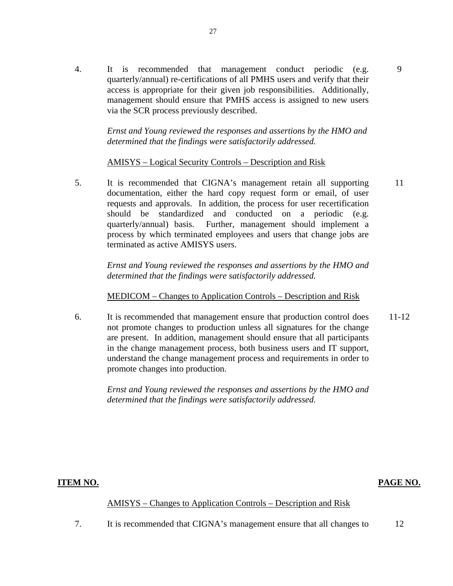4. It is recommended that management conduct periodic (e.g. quarterly/annual) re-certifications of all PMHS users and verify that their access is appropriate for their given job responsibilities. Additionally, management should ensure that PMHS access is assigned to new users via the SCR process previously described.

> *Ernst and Young reviewed the responses and assertions by the HMO and determined that the findings were satisfactorily addressed.*

#### AMISYS – Logical Security Controls – Description and Risk

5. It is recommended that CIGNA's management retain all supporting documentation, either the hard copy request form or email, of user requests and approvals. In addition, the process for user recertification should be standardized and conducted on a periodic (e.g. quarterly/annual) basis. Further, management should implement a process by which terminated employees and users that change jobs are terminated as active AMISYS users. 11

*Ernst and Young reviewed the responses and assertions by the HMO and determined that the findings were satisfactorily addressed.* 

#### MEDICOM – Changes to Application Controls – Description and Risk

6. It is recommended that management ensure that production control does not promote changes to production unless all signatures for the change are present. In addition, management should ensure that all participants in the change management process, both business users and IT support, understand the change management process and requirements in order to promote changes into production. 11-12

> *Ernst and Young reviewed the responses and assertions by the HMO and determined that the findings were satisfactorily addressed.*

#### **ITEM NO. PAGE NO.**

9

#### **AMISYS** – Changes to Application Controls – Description and Risk

7. It is recommended that CIGNA's management ensure that all changes to 12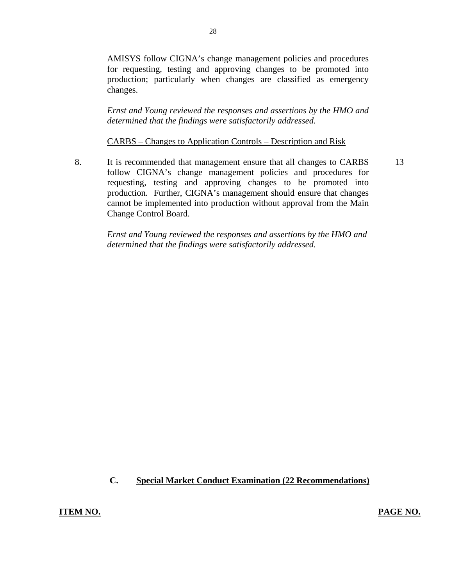AMISYS follow CIGNA's change management policies and procedures for requesting, testing and approving changes to be promoted into production; particularly when changes are classified as emergency changes.

*Ernst and Young reviewed the responses and assertions by the HMO and determined that the findings were satisfactorily addressed.* 

**CARBS** – Changes to Application Controls – Description and Risk

8. It is recommended that management ensure that all changes to CARBS 13 follow CIGNA's change management policies and procedures for requesting, testing and approving changes to be promoted into production. Further, CIGNA's management should ensure that changes cannot be implemented into production without approval from the Main Change Control Board.

*Ernst and Young reviewed the responses and assertions by the HMO and determined that the findings were satisfactorily addressed.* 

#### **C. Special Market Conduct Examination (22 Recommendations)**

**ITEM NO. PAGE NO.**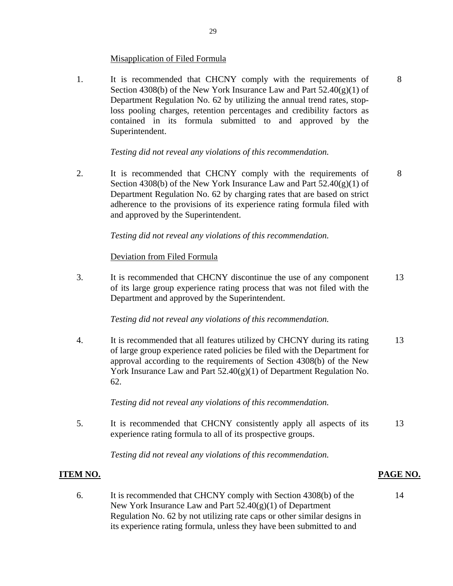#### **Misapplication of Filed Formula**

<span id="page-30-0"></span>1. It is recommended that CHCNY comply with the requirements of 8 Section 4308(b) of the New York Insurance Law and Part  $52.40(g)(1)$  of Department Regulation No. 62 by utilizing the annual trend rates, stoploss pooling charges, retention percentages and credibility factors as contained in its formula submitted to and approved by the Superintendent.

*Testing did not reveal any violations of this recommendation.* 

2. It is recommended that CHCNY comply with the requirements of 8 Section 4308(b) of the New York Insurance Law and Part  $52.40(g)(1)$  of Department Regulation No. 62 by charging rates that are based on strict adherence to the provisions of its experience rating formula filed with and approved by the Superintendent.

*Testing did not reveal any violations of this recommendation.* 

Deviation from Filed Formula

3. It is recommended that CHCNY discontinue the use of any component 13 of its large group experience rating process that was not filed with the Department and approved by the Superintendent.

*Testing did not reveal any violations of this recommendation.* 

4. It is recommended that all features utilized by CHCNY during its rating 13 of large group experience rated policies be filed with the Department for approval according to the requirements of Section 4308(b) of the New York Insurance Law and Part 52.40(g)(1) of Department Regulation No. 62.

*Testing did not reveal any violations of this recommendation.* 

5. It is recommended that CHCNY consistently apply all aspects of its 13 experience rating formula to all of its prospective groups.

*Testing did not reveal any violations of this recommendation.* 

#### **ITEM NO. PAGE NO.**

6. It is recommended that CHCNY comply with Section 4308(b) of the 14 New York Insurance Law and Part 52.40(g)(1) of Department Regulation No. 62 by not utilizing rate caps or other similar designs in its experience rating formula, unless they have been submitted to and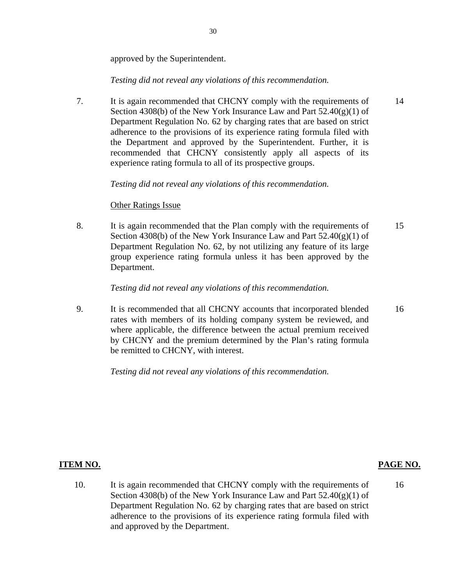approved by the Superintendent.

#### *Testing did not reveal any violations of this recommendation.*

7. It is again recommended that CHCNY comply with the requirements of Section 4308(b) of the New York Insurance Law and Part  $52.40(g)(1)$  of Department Regulation No. 62 by charging rates that are based on strict adherence to the provisions of its experience rating formula filed with the Department and approved by the Superintendent. Further, it is recommended that CHCNY consistently apply all aspects of its experience rating formula to all of its prospective groups. 14

#### *Testing did not reveal any violations of this recommendation.*

#### **Other Ratings Issue**

8. It is again recommended that the Plan comply with the requirements of Section 4308(b) of the New York Insurance Law and Part  $52.40(g)(1)$  of Department Regulation No. 62, by not utilizing any feature of its large group experience rating formula unless it has been approved by the Department. 15

#### *Testing did not reveal any violations of this recommendation.*

9. It is recommended that all CHCNY accounts that incorporated blended rates with members of its holding company system be reviewed, and where applicable, the difference between the actual premium received by CHCNY and the premium determined by the Plan's rating formula be remitted to CHCNY, with interest. 16

*Testing did not reveal any violations of this recommendation.* 

#### **ITEM NO. PAGE NO.**

16

10. It is again recommended that CHCNY comply with the requirements of Section 4308(b) of the New York Insurance Law and Part  $52.40(g)(1)$  of Department Regulation No. 62 by charging rates that are based on strict adherence to the provisions of its experience rating formula filed with and approved by the Department.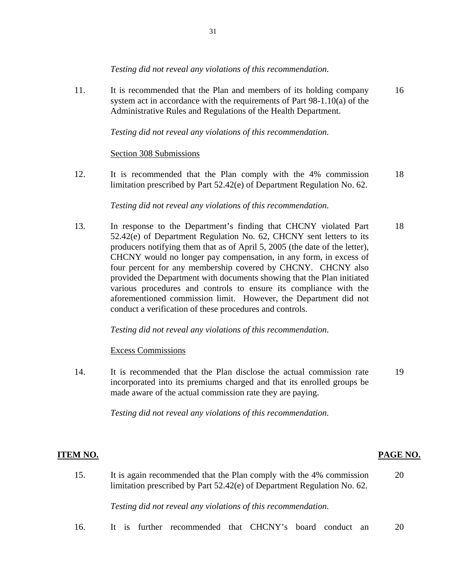*Testing did not reveal any violations of this recommendation.* 

11. It is recommended that the Plan and members of its holding company 16 system act in accordance with the requirements of Part 98-1.10(a) of the Administrative Rules and Regulations of the Health Department.

*Testing did not reveal any violations of this recommendation.* 

#### Section 308 Submissions

12. It is recommended that the Plan comply with the 4% commission 18 limitation prescribed by Part 52.42(e) of Department Regulation No. 62.

*Testing did not reveal any violations of this recommendation.* 

13. In response to the Department's finding that CHCNY violated Part 18 52.42(e) of Department Regulation No. 62, CHCNY sent letters to its producers notifying them that as of April 5, 2005 (the date of the letter), CHCNY would no longer pay compensation, in any form, in excess of four percent for any membership covered by CHCNY. CHCNY also provided the Department with documents showing that the Plan initiated various procedures and controls to ensure its compliance with the aforementioned commission limit. However, the Department did not conduct a verification of these procedures and controls.

*Testing did not reveal any violations of this recommendation.* 

Excess Commissions

14. It is recommended that the Plan disclose the actual commission rate 19 incorporated into its premiums charged and that its enrolled groups be made aware of the actual commission rate they are paying.

*Testing did not reveal any violations of this recommendation.* 

#### **ITEM NO. PAGE NO.**

15. It is again recommended that the Plan comply with the 4% commission 20 limitation prescribed by Part 52.42(e) of Department Regulation No. 62.

*Testing did not reveal any violations of this recommendation.* 

16. It is further recommended that CHCNY's board conduct an 20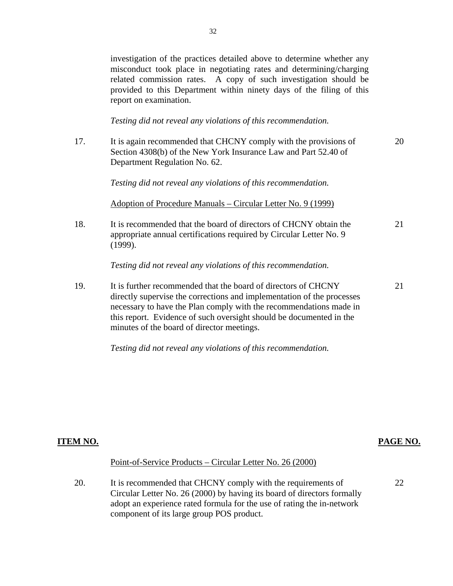investigation of the practices detailed above to determine whether any misconduct took place in negotiating rates and determining/charging related commission rates. A copy of such investigation should be provided to this Department within ninety days of the filing of this report on examination.

*Testing did not reveal any violations of this recommendation.* 

17. It is again recommended that CHCNY comply with the provisions of 20 Section 4308(b) of the New York Insurance Law and Part 52.40 of Department Regulation No. 62.

*Testing did not reveal any violations of this recommendation.* 

Adoption of Procedure Manuals – Circular Letter No. 9 (1999)

18. It is recommended that the board of directors of CHCNY obtain the 21 appropriate annual certifications required by Circular Letter No. 9 (1999).

*Testing did not reveal any violations of this recommendation.* 

19. It is further recommended that the board of directors of CHCNY 21 directly supervise the corrections and implementation of the processes necessary to have the Plan comply with the recommendations made in this report. Evidence of such oversight should be documented in the minutes of the board of director meetings.

*Testing did not reveal any violations of this recommendation.* 

#### **ITEM NO. PAGE NO.**

22

#### Point-of-Service Products – Circular Letter No. 26 (2000)

20. It is recommended that CHCNY comply with the requirements of Circular Letter No. 26 (2000) by having its board of directors formally adopt an experience rated formula for the use of rating the in-network component of its large group POS product.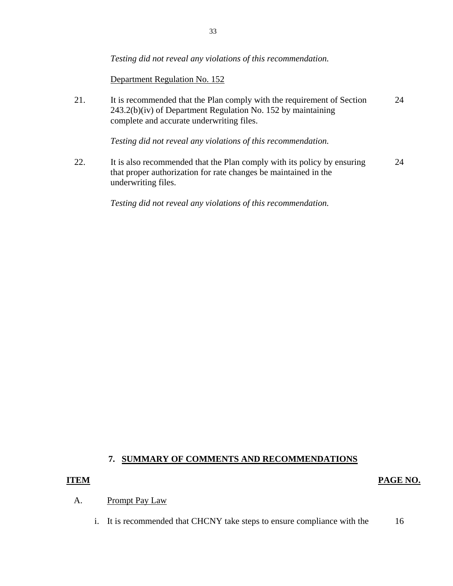*Testing did not reveal any violations of this recommendation.* 

Department Regulation No. 152

21. It is recommended that the Plan comply with the requirement of Section 24 243.2(b)(iv) of Department Regulation No. 152 by maintaining complete and accurate underwriting files.

*Testing did not reveal any violations of this recommendation.* 

22. It is also recommended that the Plan comply with its policy by ensuring 24 that proper authorization for rate changes be maintained in the underwriting files.

*Testing did not reveal any violations of this recommendation.* 

#### **7. SUMMARY OF COMMENTS AND RECOMMENDATIONS**

#### **ITEM PAGE NO.**

#### Prompt Pay Law A.

Prompt Pay Law<br>i. It is recommended that CHCNY take steps to ensure compliance with the 16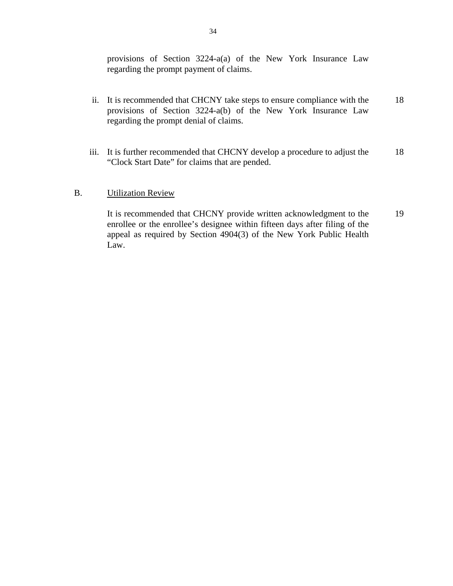provisions of Section 3224-a(a) of the New York Insurance Law regarding the prompt payment of claims.

- ii. It is recommended that CHCNY take steps to ensure compliance with the provisions of Section 3224-a(b) of the New York Insurance Law regarding the prompt denial of claims. 18
- iii. It is further recommended that CHCNY develop a procedure to adjust the "Clock Start Date" for claims that are pended. 18

#### **Utilization Review**

B. Utilization Review<br>It is recommended that CHCNY provide written acknowledgment to the enrollee or the enrollee's designee within fifteen days after filing of the appeal as required by Section 4904(3) of the New York Public Health Law. 19